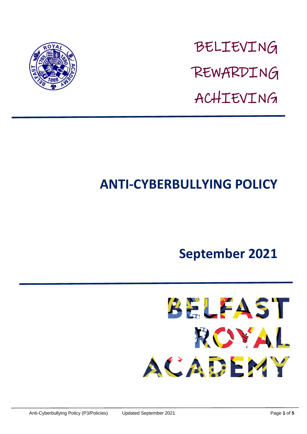

BELIEVING REWARDING ACHIEVING

# **ANTI-CYBERBULLYING POLICY**

## **September 2021**

**BELFAST** ROYAL ACADEMY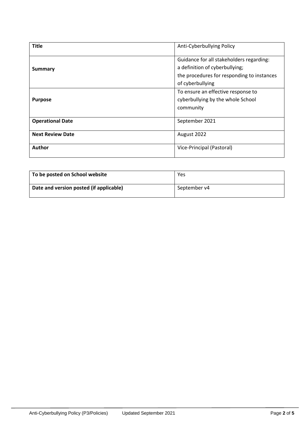| <b>Title</b>            | Anti-Cyberbullying Policy                  |
|-------------------------|--------------------------------------------|
| <b>Summary</b>          | Guidance for all stakeholders regarding:   |
|                         | a definition of cyberbullying;             |
|                         | the procedures for responding to instances |
|                         | of cyberbullying                           |
| <b>Purpose</b>          | To ensure an effective response to         |
|                         | cyberbullying by the whole School          |
|                         | community                                  |
|                         |                                            |
| <b>Operational Date</b> | September 2021                             |
| <b>Next Review Date</b> | August 2022                                |
| Author                  | Vice-Principal (Pastoral)                  |
|                         |                                            |

| To be posted on School website          | Yes          |
|-----------------------------------------|--------------|
| Date and version posted (if applicable) | September v4 |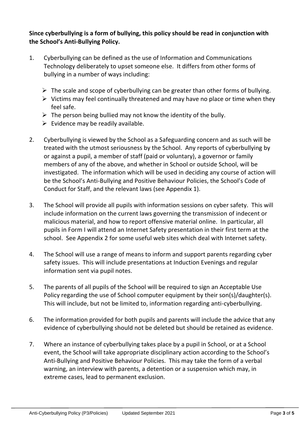## **Since cyberbullying is a form of bullying, this policy should be read in conjunction with the School's Anti-Bullying Policy.**

- 1. Cyberbullying can be defined as the use of Information and Communications Technology deliberately to upset someone else. It differs from other forms of bullying in a number of ways including:
	- $\triangleright$  The scale and scope of cyberbullying can be greater than other forms of bullying.
	- $\triangleright$  Victims may feel continually threatened and may have no place or time when they feel safe.
	- $\triangleright$  The person being bullied may not know the identity of the bully.
	- $\triangleright$  Evidence may be readily available.
- 2. Cyberbullying is viewed by the School as a Safeguarding concern and as such will be treated with the utmost seriousness by the School. Any reports of cyberbullying by or against a pupil, a member of staff (paid or voluntary), a governor or family members of any of the above, and whether in School or outside School, will be investigated. The information which will be used in deciding any course of action will be the School's Anti-Bullying and Positive Behaviour Policies, the School's Code of Conduct for Staff, and the relevant laws (see Appendix 1).
- 3. The School will provide all pupils with information sessions on cyber safety. This will include information on the current laws governing the transmission of indecent or malicious material, and how to report offensive material online. In particular, all pupils in Form I will attend an Internet Safety presentation in their first term at the school. See Appendix 2 for some useful web sites which deal with Internet safety.
- 4. The School will use a range of means to inform and support parents regarding cyber safety issues. This will include presentations at Induction Evenings and regular information sent via pupil notes.
- 5. The parents of all pupils of the School will be required to sign an Acceptable Use Policy regarding the use of School computer equipment by their son(s)/daughter(s). This will include, but not be limited to, information regarding anti-cyberbullying.
- 6. The information provided for both pupils and parents will include the advice that any evidence of cyberbullying should not be deleted but should be retained as evidence.
- 7. Where an instance of cyberbullying takes place by a pupil in School, or at a School event, the School will take appropriate disciplinary action according to the School's Anti-Bullying and Positive Behaviour Policies. This may take the form of a verbal warning, an interview with parents, a detention or a suspension which may, in extreme cases, lead to permanent exclusion.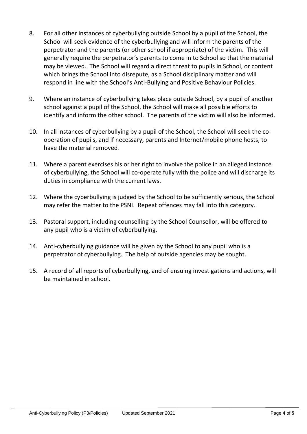- 8. For all other instances of cyberbullying outside School by a pupil of the School, the School will seek evidence of the cyberbullying and will inform the parents of the perpetrator and the parents (or other school if appropriate) of the victim. This will generally require the perpetrator's parents to come in to School so that the material may be viewed. The School will regard a direct threat to pupils in School, or content which brings the School into disrepute, as a School disciplinary matter and will respond in line with the School's Anti-Bullying and Positive Behaviour Policies.
- 9. Where an instance of cyberbullying takes place outside School, by a pupil of another school against a pupil of the School, the School will make all possible efforts to identify and inform the other school. The parents of the victim will also be informed.
- 10. In all instances of cyberbullying by a pupil of the School, the School will seek the cooperation of pupils, and if necessary, parents and Internet/mobile phone hosts, to have the material removed.
- 11. Where a parent exercises his or her right to involve the police in an alleged instance of cyberbullying, the School will co-operate fully with the police and will discharge its duties in compliance with the current laws.
- 12. Where the cyberbullying is judged by the School to be sufficiently serious, the School may refer the matter to the PSNI. Repeat offences may fall into this category.
- 13. Pastoral support, including counselling by the School Counsellor, will be offered to any pupil who is a victim of cyberbullying.
- 14. Anti-cyberbullying guidance will be given by the School to any pupil who is a perpetrator of cyberbullying. The help of outside agencies may be sought.
- 15. A record of all reports of cyberbullying, and of ensuing investigations and actions, will be maintained in school.